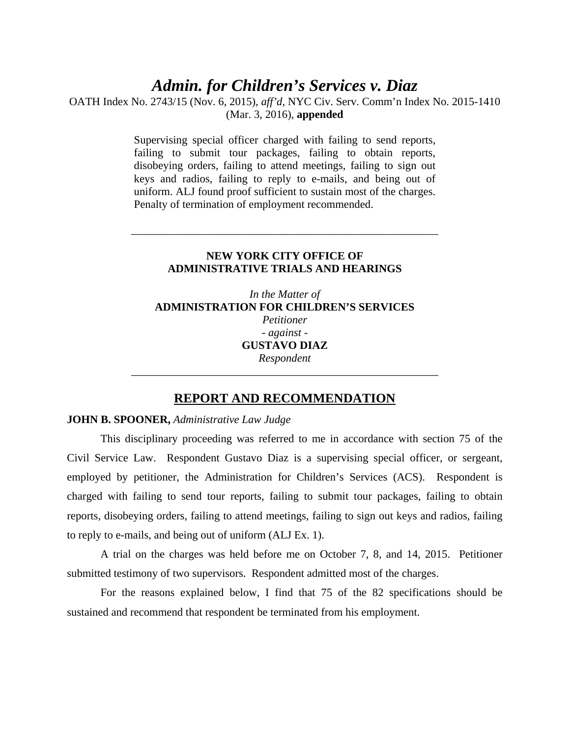# *Admin. for Children's Services v. Diaz*

OATH Index No. 2743/15 (Nov. 6, 2015), *aff'd*, NYC Civ. Serv. Comm'n Index No. 2015-1410 (Mar. 3, 2016), **appended**

> Supervising special officer charged with failing to send reports, failing to submit tour packages, failing to obtain reports, disobeying orders, failing to attend meetings, failing to sign out keys and radios, failing to reply to e-mails, and being out of uniform. ALJ found proof sufficient to sustain most of the charges. Penalty of termination of employment recommended.

### **NEW YORK CITY OFFICE OF ADMINISTRATIVE TRIALS AND HEARINGS**

\_\_\_\_\_\_\_\_\_\_\_\_\_\_\_\_\_\_\_\_\_\_\_\_\_\_\_\_\_\_\_\_\_\_\_\_\_\_\_\_\_\_\_\_\_\_\_\_\_\_\_\_\_\_\_

*In the Matter of*  **ADMINISTRATION FOR CHILDREN'S SERVICES** *Petitioner - against* - **GUSTAVO DIAZ**  *Respondent* 

# **REPORT AND RECOMMENDATION**

\_\_\_\_\_\_\_\_\_\_\_\_\_\_\_\_\_\_\_\_\_\_\_\_\_\_\_\_\_\_\_\_\_\_\_\_\_\_\_\_\_\_\_\_\_\_\_\_\_\_\_\_\_\_\_

### **JOHN B. SPOONER,** *Administrative Law Judge*

 This disciplinary proceeding was referred to me in accordance with section 75 of the Civil Service Law. Respondent Gustavo Diaz is a supervising special officer, or sergeant, employed by petitioner, the Administration for Children's Services (ACS). Respondent is charged with failing to send tour reports, failing to submit tour packages, failing to obtain reports, disobeying orders, failing to attend meetings, failing to sign out keys and radios, failing to reply to e-mails, and being out of uniform (ALJ Ex. 1).

A trial on the charges was held before me on October 7, 8, and 14, 2015. Petitioner submitted testimony of two supervisors. Respondent admitted most of the charges.

For the reasons explained below, I find that 75 of the 82 specifications should be sustained and recommend that respondent be terminated from his employment.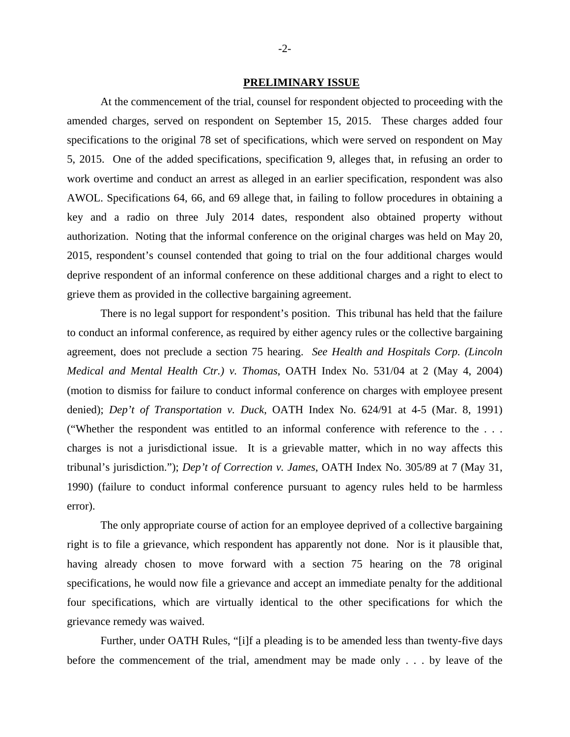#### **PRELIMINARY ISSUE**

At the commencement of the trial, counsel for respondent objected to proceeding with the amended charges, served on respondent on September 15, 2015. These charges added four specifications to the original 78 set of specifications, which were served on respondent on May 5, 2015. One of the added specifications, specification 9, alleges that, in refusing an order to work overtime and conduct an arrest as alleged in an earlier specification, respondent was also AWOL. Specifications 64, 66, and 69 allege that, in failing to follow procedures in obtaining a key and a radio on three July 2014 dates, respondent also obtained property without authorization. Noting that the informal conference on the original charges was held on May 20, 2015, respondent's counsel contended that going to trial on the four additional charges would deprive respondent of an informal conference on these additional charges and a right to elect to grieve them as provided in the collective bargaining agreement.

There is no legal support for respondent's position. This tribunal has held that the failure to conduct an informal conference, as required by either agency rules or the collective bargaining agreement, does not preclude a section 75 hearing. *See Health and Hospitals Corp. (Lincoln Medical and Mental Health Ctr.) v. Thomas*, OATH Index No. 531/04 at 2 (May 4, 2004) (motion to dismiss for failure to conduct informal conference on charges with employee present denied); *Dep't of Transportation v. Duck*, OATH Index No. 624/91 at 4-5 (Mar. 8, 1991) ("Whether the respondent was entitled to an informal conference with reference to the . . . charges is not a jurisdictional issue. It is a grievable matter, which in no way affects this tribunal's jurisdiction."); *Dep't of Correction v. James*, OATH Index No. 305/89 at 7 (May 31, 1990) (failure to conduct informal conference pursuant to agency rules held to be harmless error).

The only appropriate course of action for an employee deprived of a collective bargaining right is to file a grievance, which respondent has apparently not done. Nor is it plausible that, having already chosen to move forward with a section 75 hearing on the 78 original specifications, he would now file a grievance and accept an immediate penalty for the additional four specifications, which are virtually identical to the other specifications for which the grievance remedy was waived.

Further, under OATH Rules, "[i]f a pleading is to be amended less than twenty-five days before the commencement of the trial, amendment may be made only . . . by leave of the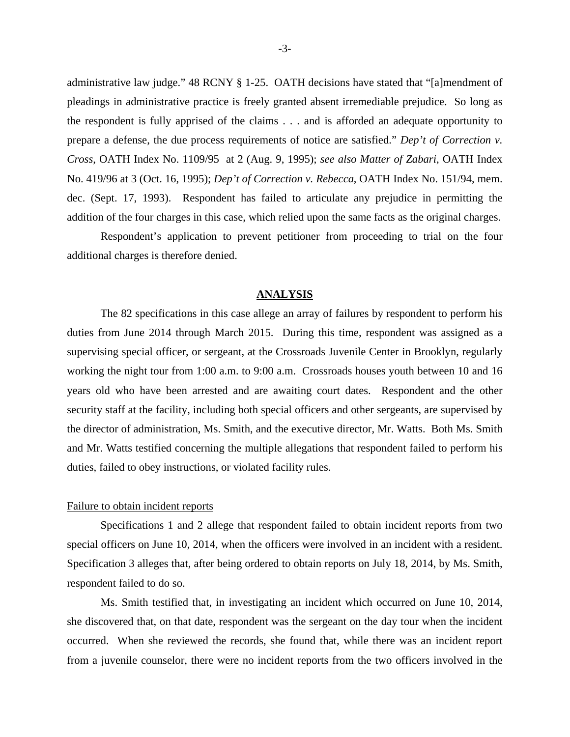administrative law judge." 48 RCNY § 1-25. OATH decisions have stated that "[a]mendment of pleadings in administrative practice is freely granted absent irremediable prejudice. So long as the respondent is fully apprised of the claims . . . and is afforded an adequate opportunity to prepare a defense, the due process requirements of notice are satisfied." *Dep't of Correction v. Cross*, OATH Index No. 1109/95 at 2 (Aug. 9, 1995); *see also Matter of Zabari*, OATH Index No. 419/96 at 3 (Oct. 16, 1995); *Dep't of Correction v. Rebecca*, OATH Index No. 151/94, mem. dec. (Sept. 17, 1993). Respondent has failed to articulate any prejudice in permitting the addition of the four charges in this case, which relied upon the same facts as the original charges.

 Respondent's application to prevent petitioner from proceeding to trial on the four additional charges is therefore denied.

#### **ANALYSIS**

 The 82 specifications in this case allege an array of failures by respondent to perform his duties from June 2014 through March 2015. During this time, respondent was assigned as a supervising special officer, or sergeant, at the Crossroads Juvenile Center in Brooklyn, regularly working the night tour from 1:00 a.m. to 9:00 a.m. Crossroads houses youth between 10 and 16 years old who have been arrested and are awaiting court dates. Respondent and the other security staff at the facility, including both special officers and other sergeants, are supervised by the director of administration, Ms. Smith, and the executive director, Mr. Watts. Both Ms. Smith and Mr. Watts testified concerning the multiple allegations that respondent failed to perform his duties, failed to obey instructions, or violated facility rules.

### Failure to obtain incident reports

 Specifications 1 and 2 allege that respondent failed to obtain incident reports from two special officers on June 10, 2014, when the officers were involved in an incident with a resident. Specification 3 alleges that, after being ordered to obtain reports on July 18, 2014, by Ms. Smith, respondent failed to do so.

Ms. Smith testified that, in investigating an incident which occurred on June 10, 2014, she discovered that, on that date, respondent was the sergeant on the day tour when the incident occurred. When she reviewed the records, she found that, while there was an incident report from a juvenile counselor, there were no incident reports from the two officers involved in the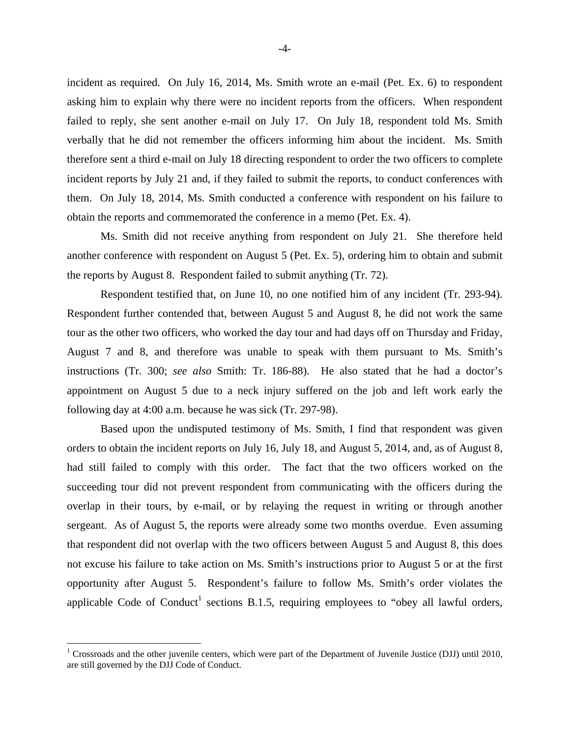incident as required. On July 16, 2014, Ms. Smith wrote an e-mail (Pet. Ex. 6) to respondent asking him to explain why there were no incident reports from the officers. When respondent failed to reply, she sent another e-mail on July 17. On July 18, respondent told Ms. Smith verbally that he did not remember the officers informing him about the incident. Ms. Smith therefore sent a third e-mail on July 18 directing respondent to order the two officers to complete incident reports by July 21 and, if they failed to submit the reports, to conduct conferences with them. On July 18, 2014, Ms. Smith conducted a conference with respondent on his failure to obtain the reports and commemorated the conference in a memo (Pet. Ex. 4).

Ms. Smith did not receive anything from respondent on July 21. She therefore held another conference with respondent on August 5 (Pet. Ex. 5), ordering him to obtain and submit the reports by August 8. Respondent failed to submit anything (Tr. 72).

Respondent testified that, on June 10, no one notified him of any incident (Tr. 293-94). Respondent further contended that, between August 5 and August 8, he did not work the same tour as the other two officers, who worked the day tour and had days off on Thursday and Friday, August 7 and 8, and therefore was unable to speak with them pursuant to Ms. Smith's instructions (Tr. 300; *see also* Smith: Tr. 186-88). He also stated that he had a doctor's appointment on August 5 due to a neck injury suffered on the job and left work early the following day at 4:00 a.m. because he was sick (Tr. 297-98).

Based upon the undisputed testimony of Ms. Smith, I find that respondent was given orders to obtain the incident reports on July 16, July 18, and August 5, 2014, and, as of August 8, had still failed to comply with this order. The fact that the two officers worked on the succeeding tour did not prevent respondent from communicating with the officers during the overlap in their tours, by e-mail, or by relaying the request in writing or through another sergeant. As of August 5, the reports were already some two months overdue. Even assuming that respondent did not overlap with the two officers between August 5 and August 8, this does not excuse his failure to take action on Ms. Smith's instructions prior to August 5 or at the first opportunity after August 5. Respondent's failure to follow Ms. Smith's order violates the applicable Code of Conduct<sup>1</sup> sections B.1.5, requiring employees to "obey all lawful orders,

 $\overline{a}$ 

<sup>&</sup>lt;sup>1</sup> Crossroads and the other juvenile centers, which were part of the Department of Juvenile Justice (DJJ) until 2010, are still governed by the DJJ Code of Conduct.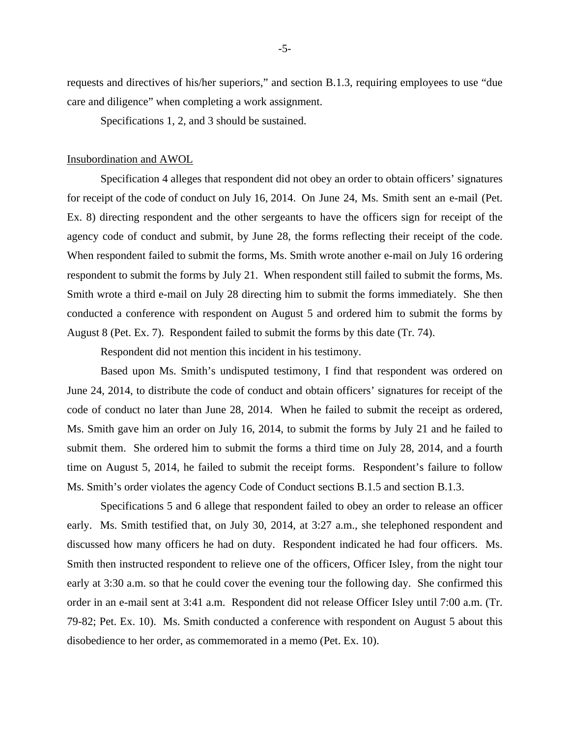requests and directives of his/her superiors," and section B.1.3, requiring employees to use "due care and diligence" when completing a work assignment.

Specifications 1, 2, and 3 should be sustained.

#### Insubordination and AWOL

 Specification 4 alleges that respondent did not obey an order to obtain officers' signatures for receipt of the code of conduct on July 16, 2014. On June 24, Ms. Smith sent an e-mail (Pet. Ex. 8) directing respondent and the other sergeants to have the officers sign for receipt of the agency code of conduct and submit, by June 28, the forms reflecting their receipt of the code. When respondent failed to submit the forms, Ms. Smith wrote another e-mail on July 16 ordering respondent to submit the forms by July 21. When respondent still failed to submit the forms, Ms. Smith wrote a third e-mail on July 28 directing him to submit the forms immediately. She then conducted a conference with respondent on August 5 and ordered him to submit the forms by August 8 (Pet. Ex. 7). Respondent failed to submit the forms by this date (Tr. 74).

Respondent did not mention this incident in his testimony.

 Based upon Ms. Smith's undisputed testimony, I find that respondent was ordered on June 24, 2014, to distribute the code of conduct and obtain officers' signatures for receipt of the code of conduct no later than June 28, 2014. When he failed to submit the receipt as ordered, Ms. Smith gave him an order on July 16, 2014, to submit the forms by July 21 and he failed to submit them. She ordered him to submit the forms a third time on July 28, 2014, and a fourth time on August 5, 2014, he failed to submit the receipt forms. Respondent's failure to follow Ms. Smith's order violates the agency Code of Conduct sections B.1.5 and section B.1.3.

 Specifications 5 and 6 allege that respondent failed to obey an order to release an officer early. Ms. Smith testified that, on July 30, 2014, at 3:27 a.m., she telephoned respondent and discussed how many officers he had on duty. Respondent indicated he had four officers. Ms. Smith then instructed respondent to relieve one of the officers, Officer Isley, from the night tour early at 3:30 a.m. so that he could cover the evening tour the following day. She confirmed this order in an e-mail sent at 3:41 a.m. Respondent did not release Officer Isley until 7:00 a.m. (Tr. 79-82; Pet. Ex. 10). Ms. Smith conducted a conference with respondent on August 5 about this disobedience to her order, as commemorated in a memo (Pet. Ex. 10).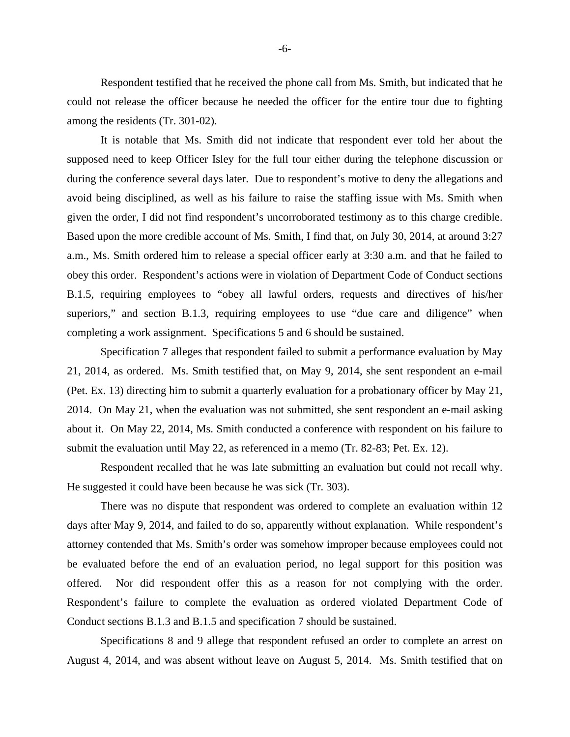Respondent testified that he received the phone call from Ms. Smith, but indicated that he could not release the officer because he needed the officer for the entire tour due to fighting among the residents (Tr. 301-02).

 It is notable that Ms. Smith did not indicate that respondent ever told her about the supposed need to keep Officer Isley for the full tour either during the telephone discussion or during the conference several days later. Due to respondent's motive to deny the allegations and avoid being disciplined, as well as his failure to raise the staffing issue with Ms. Smith when given the order, I did not find respondent's uncorroborated testimony as to this charge credible. Based upon the more credible account of Ms. Smith, I find that, on July 30, 2014, at around 3:27 a.m., Ms. Smith ordered him to release a special officer early at 3:30 a.m. and that he failed to obey this order. Respondent's actions were in violation of Department Code of Conduct sections B.1.5, requiring employees to "obey all lawful orders, requests and directives of his/her superiors," and section B.1.3, requiring employees to use "due care and diligence" when completing a work assignment. Specifications 5 and 6 should be sustained.

Specification 7 alleges that respondent failed to submit a performance evaluation by May 21, 2014, as ordered. Ms. Smith testified that, on May 9, 2014, she sent respondent an e-mail (Pet. Ex. 13) directing him to submit a quarterly evaluation for a probationary officer by May 21, 2014. On May 21, when the evaluation was not submitted, she sent respondent an e-mail asking about it. On May 22, 2014, Ms. Smith conducted a conference with respondent on his failure to submit the evaluation until May 22, as referenced in a memo (Tr. 82-83; Pet. Ex. 12).

 Respondent recalled that he was late submitting an evaluation but could not recall why. He suggested it could have been because he was sick (Tr. 303).

There was no dispute that respondent was ordered to complete an evaluation within 12 days after May 9, 2014, and failed to do so, apparently without explanation. While respondent's attorney contended that Ms. Smith's order was somehow improper because employees could not be evaluated before the end of an evaluation period, no legal support for this position was offered. Nor did respondent offer this as a reason for not complying with the order. Respondent's failure to complete the evaluation as ordered violated Department Code of Conduct sections B.1.3 and B.1.5 and specification 7 should be sustained.

Specifications 8 and 9 allege that respondent refused an order to complete an arrest on August 4, 2014, and was absent without leave on August 5, 2014. Ms. Smith testified that on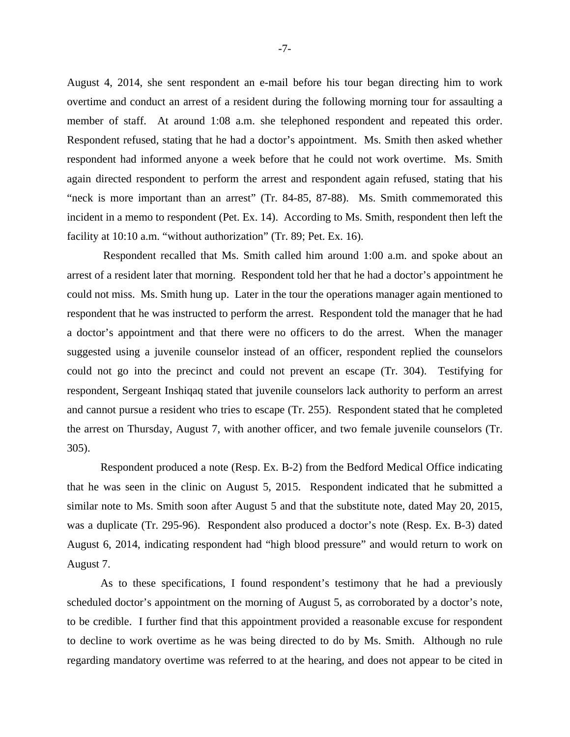August 4, 2014, she sent respondent an e-mail before his tour began directing him to work overtime and conduct an arrest of a resident during the following morning tour for assaulting a member of staff. At around 1:08 a.m. she telephoned respondent and repeated this order. Respondent refused, stating that he had a doctor's appointment. Ms. Smith then asked whether respondent had informed anyone a week before that he could not work overtime. Ms. Smith again directed respondent to perform the arrest and respondent again refused, stating that his "neck is more important than an arrest" (Tr. 84-85, 87-88). Ms. Smith commemorated this incident in a memo to respondent (Pet. Ex. 14). According to Ms. Smith, respondent then left the facility at 10:10 a.m. "without authorization" (Tr. 89; Pet. Ex. 16).

 Respondent recalled that Ms. Smith called him around 1:00 a.m. and spoke about an arrest of a resident later that morning. Respondent told her that he had a doctor's appointment he could not miss. Ms. Smith hung up. Later in the tour the operations manager again mentioned to respondent that he was instructed to perform the arrest. Respondent told the manager that he had a doctor's appointment and that there were no officers to do the arrest. When the manager suggested using a juvenile counselor instead of an officer, respondent replied the counselors could not go into the precinct and could not prevent an escape (Tr. 304). Testifying for respondent, Sergeant Inshiqaq stated that juvenile counselors lack authority to perform an arrest and cannot pursue a resident who tries to escape (Tr. 255). Respondent stated that he completed the arrest on Thursday, August 7, with another officer, and two female juvenile counselors (Tr. 305).

Respondent produced a note (Resp. Ex. B-2) from the Bedford Medical Office indicating that he was seen in the clinic on August 5, 2015. Respondent indicated that he submitted a similar note to Ms. Smith soon after August 5 and that the substitute note, dated May 20, 2015, was a duplicate (Tr. 295-96). Respondent also produced a doctor's note (Resp. Ex. B-3) dated August 6, 2014, indicating respondent had "high blood pressure" and would return to work on August 7.

As to these specifications, I found respondent's testimony that he had a previously scheduled doctor's appointment on the morning of August 5, as corroborated by a doctor's note, to be credible. I further find that this appointment provided a reasonable excuse for respondent to decline to work overtime as he was being directed to do by Ms. Smith. Although no rule regarding mandatory overtime was referred to at the hearing, and does not appear to be cited in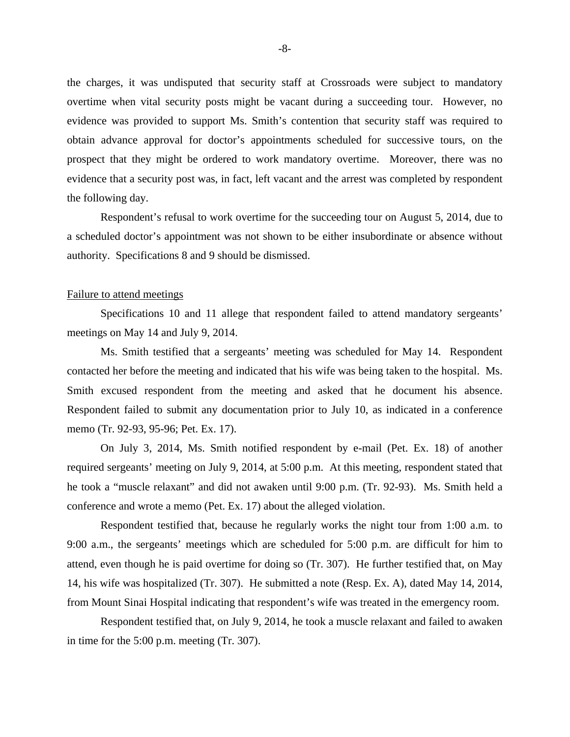the charges, it was undisputed that security staff at Crossroads were subject to mandatory overtime when vital security posts might be vacant during a succeeding tour. However, no evidence was provided to support Ms. Smith's contention that security staff was required to obtain advance approval for doctor's appointments scheduled for successive tours, on the prospect that they might be ordered to work mandatory overtime. Moreover, there was no evidence that a security post was, in fact, left vacant and the arrest was completed by respondent the following day.

Respondent's refusal to work overtime for the succeeding tour on August 5, 2014, due to a scheduled doctor's appointment was not shown to be either insubordinate or absence without authority. Specifications 8 and 9 should be dismissed.

#### Failure to attend meetings

 Specifications 10 and 11 allege that respondent failed to attend mandatory sergeants' meetings on May 14 and July 9, 2014.

 Ms. Smith testified that a sergeants' meeting was scheduled for May 14. Respondent contacted her before the meeting and indicated that his wife was being taken to the hospital. Ms. Smith excused respondent from the meeting and asked that he document his absence. Respondent failed to submit any documentation prior to July 10, as indicated in a conference memo (Tr. 92-93, 95-96; Pet. Ex. 17).

 On July 3, 2014, Ms. Smith notified respondent by e-mail (Pet. Ex. 18) of another required sergeants' meeting on July 9, 2014, at 5:00 p.m. At this meeting, respondent stated that he took a "muscle relaxant" and did not awaken until 9:00 p.m. (Tr. 92-93). Ms. Smith held a conference and wrote a memo (Pet. Ex. 17) about the alleged violation.

Respondent testified that, because he regularly works the night tour from 1:00 a.m. to 9:00 a.m., the sergeants' meetings which are scheduled for 5:00 p.m. are difficult for him to attend, even though he is paid overtime for doing so (Tr. 307). He further testified that, on May 14, his wife was hospitalized (Tr. 307). He submitted a note (Resp. Ex. A), dated May 14, 2014, from Mount Sinai Hospital indicating that respondent's wife was treated in the emergency room.

Respondent testified that, on July 9, 2014, he took a muscle relaxant and failed to awaken in time for the 5:00 p.m. meeting (Tr. 307).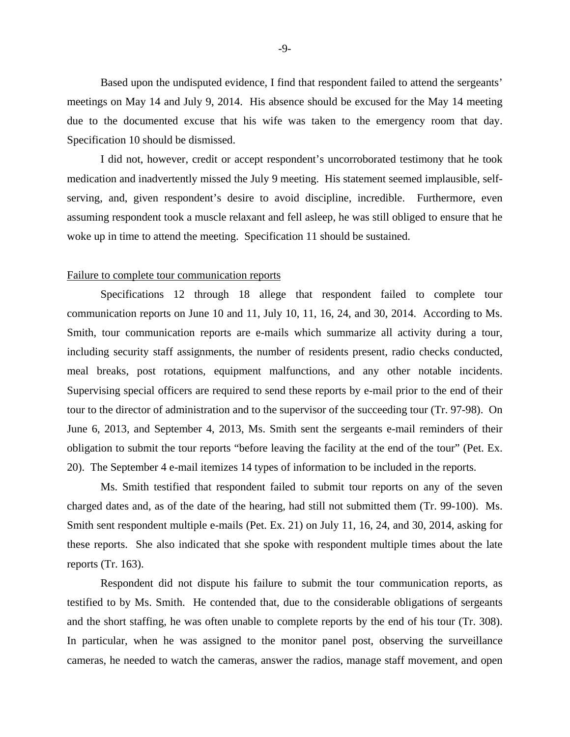Based upon the undisputed evidence, I find that respondent failed to attend the sergeants' meetings on May 14 and July 9, 2014. His absence should be excused for the May 14 meeting due to the documented excuse that his wife was taken to the emergency room that day. Specification 10 should be dismissed.

I did not, however, credit or accept respondent's uncorroborated testimony that he took medication and inadvertently missed the July 9 meeting. His statement seemed implausible, selfserving, and, given respondent's desire to avoid discipline, incredible. Furthermore, even assuming respondent took a muscle relaxant and fell asleep, he was still obliged to ensure that he woke up in time to attend the meeting. Specification 11 should be sustained.

#### Failure to complete tour communication reports

 Specifications 12 through 18 allege that respondent failed to complete tour communication reports on June 10 and 11, July 10, 11, 16, 24, and 30, 2014. According to Ms. Smith, tour communication reports are e-mails which summarize all activity during a tour, including security staff assignments, the number of residents present, radio checks conducted, meal breaks, post rotations, equipment malfunctions, and any other notable incidents. Supervising special officers are required to send these reports by e-mail prior to the end of their tour to the director of administration and to the supervisor of the succeeding tour (Tr. 97-98). On June 6, 2013, and September 4, 2013, Ms. Smith sent the sergeants e-mail reminders of their obligation to submit the tour reports "before leaving the facility at the end of the tour" (Pet. Ex. 20). The September 4 e-mail itemizes 14 types of information to be included in the reports.

 Ms. Smith testified that respondent failed to submit tour reports on any of the seven charged dates and, as of the date of the hearing, had still not submitted them (Tr. 99-100). Ms. Smith sent respondent multiple e-mails (Pet. Ex. 21) on July 11, 16, 24, and 30, 2014, asking for these reports. She also indicated that she spoke with respondent multiple times about the late reports (Tr. 163).

 Respondent did not dispute his failure to submit the tour communication reports, as testified to by Ms. Smith. He contended that, due to the considerable obligations of sergeants and the short staffing, he was often unable to complete reports by the end of his tour (Tr. 308). In particular, when he was assigned to the monitor panel post, observing the surveillance cameras, he needed to watch the cameras, answer the radios, manage staff movement, and open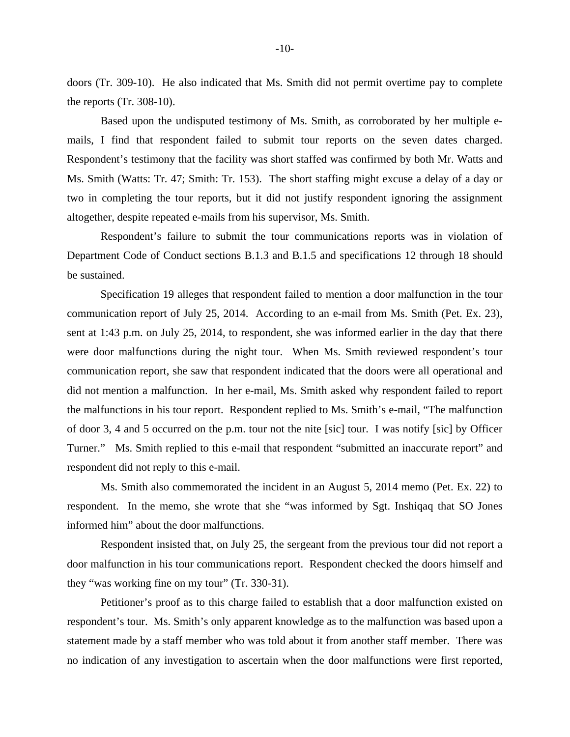doors (Tr. 309-10). He also indicated that Ms. Smith did not permit overtime pay to complete the reports (Tr. 308-10).

 Based upon the undisputed testimony of Ms. Smith, as corroborated by her multiple emails, I find that respondent failed to submit tour reports on the seven dates charged. Respondent's testimony that the facility was short staffed was confirmed by both Mr. Watts and Ms. Smith (Watts: Tr. 47; Smith: Tr. 153). The short staffing might excuse a delay of a day or two in completing the tour reports, but it did not justify respondent ignoring the assignment altogether, despite repeated e-mails from his supervisor, Ms. Smith.

Respondent's failure to submit the tour communications reports was in violation of Department Code of Conduct sections B.1.3 and B.1.5 and specifications 12 through 18 should be sustained.

Specification 19 alleges that respondent failed to mention a door malfunction in the tour communication report of July 25, 2014. According to an e-mail from Ms. Smith (Pet. Ex. 23), sent at 1:43 p.m. on July 25, 2014, to respondent, she was informed earlier in the day that there were door malfunctions during the night tour. When Ms. Smith reviewed respondent's tour communication report, she saw that respondent indicated that the doors were all operational and did not mention a malfunction. In her e-mail, Ms. Smith asked why respondent failed to report the malfunctions in his tour report. Respondent replied to Ms. Smith's e-mail, "The malfunction of door 3, 4 and 5 occurred on the p.m. tour not the nite [sic] tour. I was notify [sic] by Officer Turner." Ms. Smith replied to this e-mail that respondent "submitted an inaccurate report" and respondent did not reply to this e-mail.

Ms. Smith also commemorated the incident in an August 5, 2014 memo (Pet. Ex. 22) to respondent. In the memo, she wrote that she "was informed by Sgt. Inshiqaq that SO Jones informed him" about the door malfunctions.

Respondent insisted that, on July 25, the sergeant from the previous tour did not report a door malfunction in his tour communications report. Respondent checked the doors himself and they "was working fine on my tour" (Tr. 330-31).

Petitioner's proof as to this charge failed to establish that a door malfunction existed on respondent's tour. Ms. Smith's only apparent knowledge as to the malfunction was based upon a statement made by a staff member who was told about it from another staff member. There was no indication of any investigation to ascertain when the door malfunctions were first reported,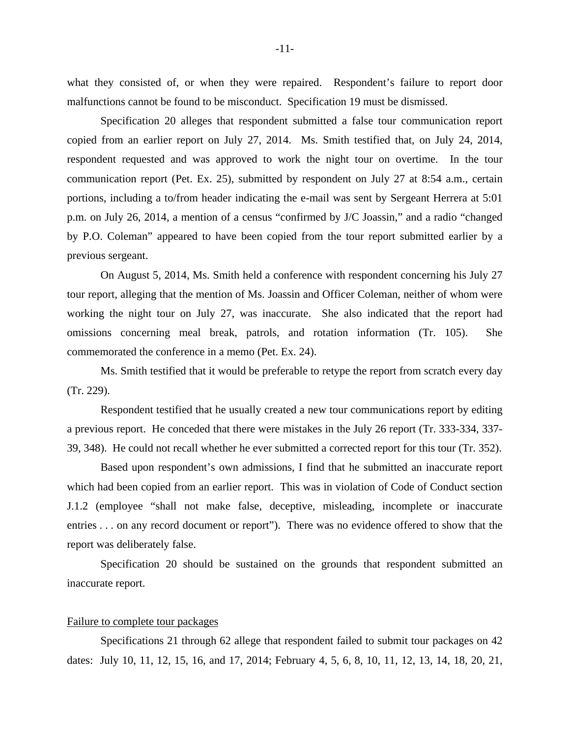what they consisted of, or when they were repaired. Respondent's failure to report door malfunctions cannot be found to be misconduct. Specification 19 must be dismissed.

Specification 20 alleges that respondent submitted a false tour communication report copied from an earlier report on July 27, 2014. Ms. Smith testified that, on July 24, 2014, respondent requested and was approved to work the night tour on overtime. In the tour communication report (Pet. Ex. 25), submitted by respondent on July 27 at 8:54 a.m., certain portions, including a to/from header indicating the e-mail was sent by Sergeant Herrera at 5:01 p.m. on July 26, 2014, a mention of a census "confirmed by J/C Joassin," and a radio "changed by P.O. Coleman" appeared to have been copied from the tour report submitted earlier by a previous sergeant.

On August 5, 2014, Ms. Smith held a conference with respondent concerning his July 27 tour report, alleging that the mention of Ms. Joassin and Officer Coleman, neither of whom were working the night tour on July 27, was inaccurate. She also indicated that the report had omissions concerning meal break, patrols, and rotation information (Tr. 105). She commemorated the conference in a memo (Pet. Ex. 24).

Ms. Smith testified that it would be preferable to retype the report from scratch every day (Tr. 229).

Respondent testified that he usually created a new tour communications report by editing a previous report. He conceded that there were mistakes in the July 26 report (Tr. 333-334, 337- 39, 348). He could not recall whether he ever submitted a corrected report for this tour (Tr. 352).

 Based upon respondent's own admissions, I find that he submitted an inaccurate report which had been copied from an earlier report. This was in violation of Code of Conduct section J.1.2 (employee "shall not make false, deceptive, misleading, incomplete or inaccurate entries . . . on any record document or report"). There was no evidence offered to show that the report was deliberately false.

 Specification 20 should be sustained on the grounds that respondent submitted an inaccurate report.

#### Failure to complete tour packages

 Specifications 21 through 62 allege that respondent failed to submit tour packages on 42 dates: July 10, 11, 12, 15, 16, and 17, 2014; February 4, 5, 6, 8, 10, 11, 12, 13, 14, 18, 20, 21,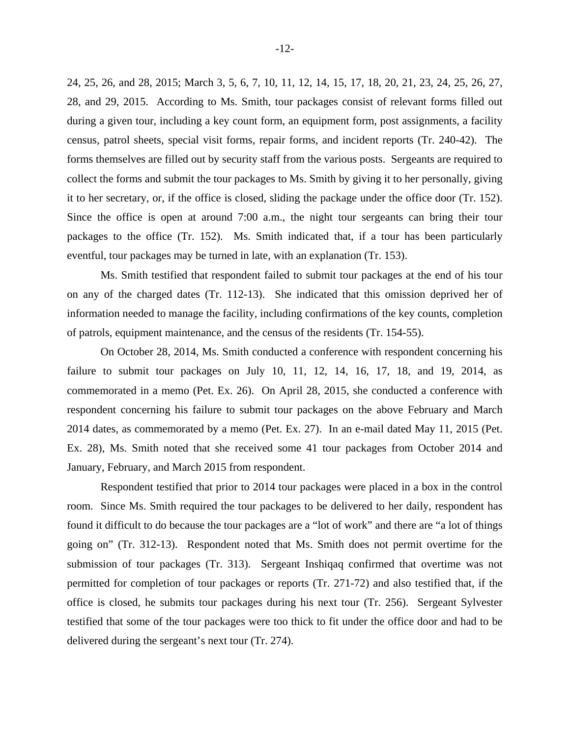24, 25, 26, and 28, 2015; March 3, 5, 6, 7, 10, 11, 12, 14, 15, 17, 18, 20, 21, 23, 24, 25, 26, 27, 28, and 29, 2015. According to Ms. Smith, tour packages consist of relevant forms filled out during a given tour, including a key count form, an equipment form, post assignments, a facility census, patrol sheets, special visit forms, repair forms, and incident reports (Tr. 240-42). The forms themselves are filled out by security staff from the various posts. Sergeants are required to collect the forms and submit the tour packages to Ms. Smith by giving it to her personally, giving it to her secretary, or, if the office is closed, sliding the package under the office door (Tr. 152). Since the office is open at around 7:00 a.m., the night tour sergeants can bring their tour packages to the office (Tr. 152). Ms. Smith indicated that, if a tour has been particularly eventful, tour packages may be turned in late, with an explanation (Tr. 153).

 Ms. Smith testified that respondent failed to submit tour packages at the end of his tour on any of the charged dates (Tr. 112-13). She indicated that this omission deprived her of information needed to manage the facility, including confirmations of the key counts, completion of patrols, equipment maintenance, and the census of the residents (Tr. 154-55).

On October 28, 2014, Ms. Smith conducted a conference with respondent concerning his failure to submit tour packages on July 10, 11, 12, 14, 16, 17, 18, and 19, 2014, as commemorated in a memo (Pet. Ex. 26). On April 28, 2015, she conducted a conference with respondent concerning his failure to submit tour packages on the above February and March 2014 dates, as commemorated by a memo (Pet. Ex. 27). In an e-mail dated May 11, 2015 (Pet. Ex. 28), Ms. Smith noted that she received some 41 tour packages from October 2014 and January, February, and March 2015 from respondent.

 Respondent testified that prior to 2014 tour packages were placed in a box in the control room. Since Ms. Smith required the tour packages to be delivered to her daily, respondent has found it difficult to do because the tour packages are a "lot of work" and there are "a lot of things going on" (Tr. 312-13). Respondent noted that Ms. Smith does not permit overtime for the submission of tour packages (Tr. 313). Sergeant Inshiqaq confirmed that overtime was not permitted for completion of tour packages or reports (Tr. 271-72) and also testified that, if the office is closed, he submits tour packages during his next tour (Tr. 256). Sergeant Sylvester testified that some of the tour packages were too thick to fit under the office door and had to be delivered during the sergeant's next tour (Tr. 274).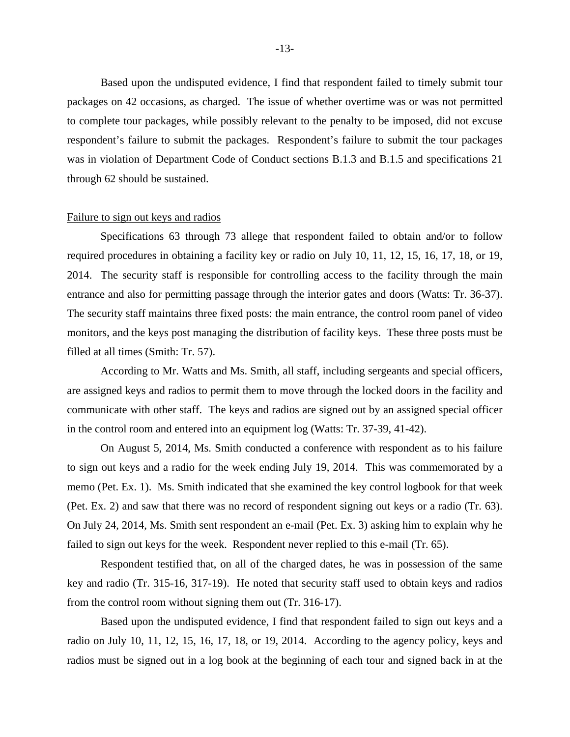Based upon the undisputed evidence, I find that respondent failed to timely submit tour packages on 42 occasions, as charged. The issue of whether overtime was or was not permitted to complete tour packages, while possibly relevant to the penalty to be imposed, did not excuse respondent's failure to submit the packages. Respondent's failure to submit the tour packages was in violation of Department Code of Conduct sections B.1.3 and B.1.5 and specifications 21 through 62 should be sustained.

#### Failure to sign out keys and radios

Specifications 63 through 73 allege that respondent failed to obtain and/or to follow required procedures in obtaining a facility key or radio on July 10, 11, 12, 15, 16, 17, 18, or 19, 2014. The security staff is responsible for controlling access to the facility through the main entrance and also for permitting passage through the interior gates and doors (Watts: Tr. 36-37). The security staff maintains three fixed posts: the main entrance, the control room panel of video monitors, and the keys post managing the distribution of facility keys. These three posts must be filled at all times (Smith: Tr. 57).

According to Mr. Watts and Ms. Smith, all staff, including sergeants and special officers, are assigned keys and radios to permit them to move through the locked doors in the facility and communicate with other staff. The keys and radios are signed out by an assigned special officer in the control room and entered into an equipment log (Watts: Tr. 37-39, 41-42).

 On August 5, 2014, Ms. Smith conducted a conference with respondent as to his failure to sign out keys and a radio for the week ending July 19, 2014. This was commemorated by a memo (Pet. Ex. 1). Ms. Smith indicated that she examined the key control logbook for that week (Pet. Ex. 2) and saw that there was no record of respondent signing out keys or a radio (Tr. 63). On July 24, 2014, Ms. Smith sent respondent an e-mail (Pet. Ex. 3) asking him to explain why he failed to sign out keys for the week. Respondent never replied to this e-mail (Tr. 65).

 Respondent testified that, on all of the charged dates, he was in possession of the same key and radio (Tr. 315-16, 317-19). He noted that security staff used to obtain keys and radios from the control room without signing them out (Tr. 316-17).

Based upon the undisputed evidence, I find that respondent failed to sign out keys and a radio on July 10, 11, 12, 15, 16, 17, 18, or 19, 2014. According to the agency policy, keys and radios must be signed out in a log book at the beginning of each tour and signed back in at the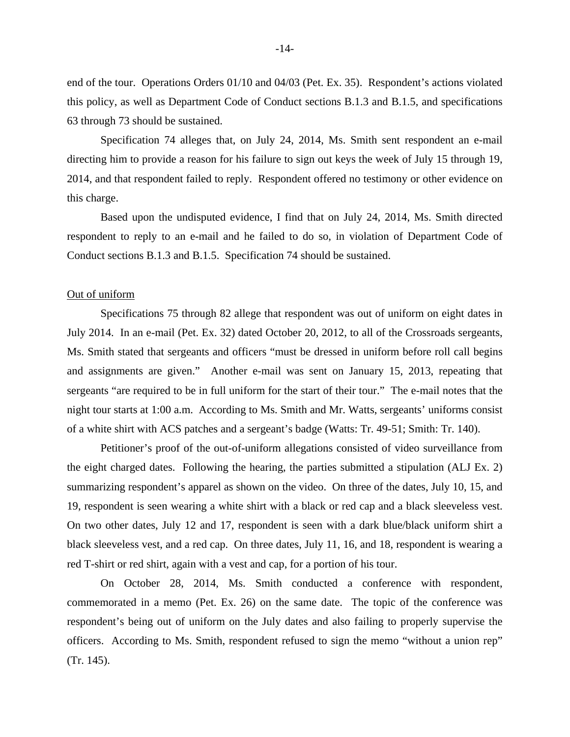end of the tour. Operations Orders 01/10 and 04/03 (Pet. Ex. 35). Respondent's actions violated this policy, as well as Department Code of Conduct sections B.1.3 and B.1.5, and specifications 63 through 73 should be sustained.

 Specification 74 alleges that, on July 24, 2014, Ms. Smith sent respondent an e-mail directing him to provide a reason for his failure to sign out keys the week of July 15 through 19, 2014, and that respondent failed to reply. Respondent offered no testimony or other evidence on this charge.

 Based upon the undisputed evidence, I find that on July 24, 2014, Ms. Smith directed respondent to reply to an e-mail and he failed to do so, in violation of Department Code of Conduct sections B.1.3 and B.1.5. Specification 74 should be sustained.

#### Out of uniform

Specifications 75 through 82 allege that respondent was out of uniform on eight dates in July 2014. In an e-mail (Pet. Ex. 32) dated October 20, 2012, to all of the Crossroads sergeants, Ms. Smith stated that sergeants and officers "must be dressed in uniform before roll call begins and assignments are given." Another e-mail was sent on January 15, 2013, repeating that sergeants "are required to be in full uniform for the start of their tour." The e-mail notes that the night tour starts at 1:00 a.m. According to Ms. Smith and Mr. Watts, sergeants' uniforms consist of a white shirt with ACS patches and a sergeant's badge (Watts: Tr. 49-51; Smith: Tr. 140).

 Petitioner's proof of the out-of-uniform allegations consisted of video surveillance from the eight charged dates. Following the hearing, the parties submitted a stipulation (ALJ Ex. 2) summarizing respondent's apparel as shown on the video. On three of the dates, July 10, 15, and 19, respondent is seen wearing a white shirt with a black or red cap and a black sleeveless vest. On two other dates, July 12 and 17, respondent is seen with a dark blue/black uniform shirt a black sleeveless vest, and a red cap. On three dates, July 11, 16, and 18, respondent is wearing a red T-shirt or red shirt, again with a vest and cap, for a portion of his tour.

 On October 28, 2014, Ms. Smith conducted a conference with respondent, commemorated in a memo (Pet. Ex. 26) on the same date. The topic of the conference was respondent's being out of uniform on the July dates and also failing to properly supervise the officers. According to Ms. Smith, respondent refused to sign the memo "without a union rep" (Tr. 145).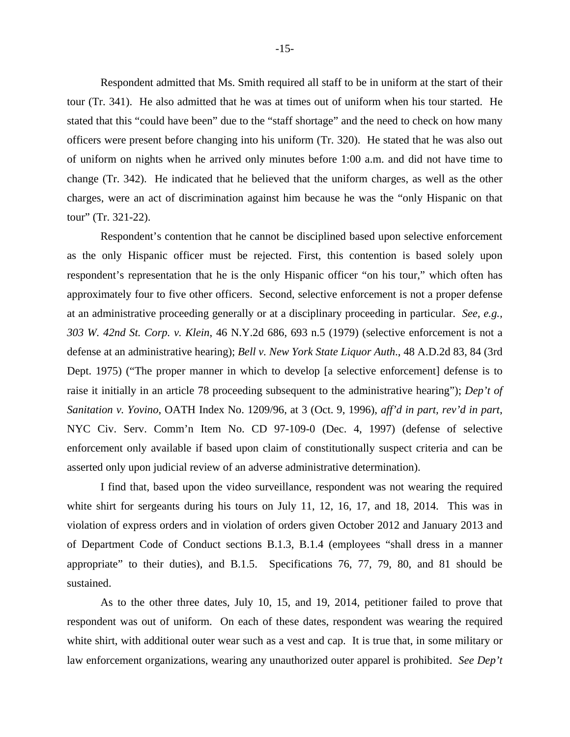Respondent admitted that Ms. Smith required all staff to be in uniform at the start of their tour (Tr. 341). He also admitted that he was at times out of uniform when his tour started. He stated that this "could have been" due to the "staff shortage" and the need to check on how many officers were present before changing into his uniform (Tr. 320). He stated that he was also out of uniform on nights when he arrived only minutes before 1:00 a.m. and did not have time to change (Tr. 342). He indicated that he believed that the uniform charges, as well as the other charges, were an act of discrimination against him because he was the "only Hispanic on that tour" (Tr. 321-22).

Respondent's contention that he cannot be disciplined based upon selective enforcement as the only Hispanic officer must be rejected. First, this contention is based solely upon respondent's representation that he is the only Hispanic officer "on his tour," which often has approximately four to five other officers. Second, selective enforcement is not a proper defense at an administrative proceeding generally or at a disciplinary proceeding in particular. *See, e.g., 303 W. 42nd St. Corp. v. Klein*, 46 N.Y.2d 686, 693 n.5 (1979) (selective enforcement is not a defense at an administrative hearing); *Bell v. New York State Liquor Auth*., 48 A.D.2d 83, 84 (3rd Dept. 1975) ("The proper manner in which to develop [a selective enforcement] defense is to raise it initially in an article 78 proceeding subsequent to the administrative hearing"); *Dep't of Sanitation v. Yovino*, OATH Index No. 1209/96, at 3 (Oct. 9, 1996), *aff'd in part, rev'd in part*, NYC Civ. Serv. Comm'n Item No. CD 97-109-0 (Dec. 4, 1997) (defense of selective enforcement only available if based upon claim of constitutionally suspect criteria and can be asserted only upon judicial review of an adverse administrative determination).

I find that, based upon the video surveillance, respondent was not wearing the required white shirt for sergeants during his tours on July 11, 12, 16, 17, and 18, 2014. This was in violation of express orders and in violation of orders given October 2012 and January 2013 and of Department Code of Conduct sections B.1.3, B.1.4 (employees "shall dress in a manner appropriate" to their duties), and B.1.5. Specifications 76, 77, 79, 80, and 81 should be sustained.

As to the other three dates, July 10, 15, and 19, 2014, petitioner failed to prove that respondent was out of uniform. On each of these dates, respondent was wearing the required white shirt, with additional outer wear such as a vest and cap. It is true that, in some military or law enforcement organizations, wearing any unauthorized outer apparel is prohibited. *See Dep't*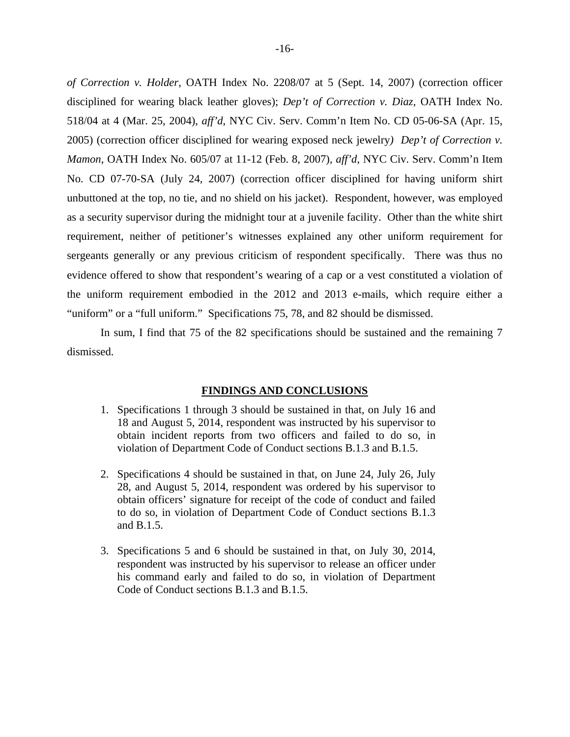*of Correction v. Holder*, OATH Index No. 2208/07 at 5 (Sept. 14, 2007) (correction officer disciplined for wearing black leather gloves); *Dep't of Correction v. Diaz,* OATH Index No. 518/04 at 4 (Mar. 25, 2004), *aff'd*, NYC Civ. Serv. Comm'n Item No. CD 05-06-SA (Apr. 15, 2005) (correction officer disciplined for wearing exposed neck jewelry*) Dep't of Correction v. Mamon*, OATH Index No. 605/07 at 11-12 (Feb. 8, 2007), *aff'd*, NYC Civ. Serv. Comm'n Item No. CD 07-70-SA (July 24, 2007) (correction officer disciplined for having uniform shirt unbuttoned at the top, no tie, and no shield on his jacket). Respondent, however, was employed as a security supervisor during the midnight tour at a juvenile facility. Other than the white shirt requirement, neither of petitioner's witnesses explained any other uniform requirement for sergeants generally or any previous criticism of respondent specifically. There was thus no evidence offered to show that respondent's wearing of a cap or a vest constituted a violation of the uniform requirement embodied in the 2012 and 2013 e-mails, which require either a "uniform" or a "full uniform." Specifications 75, 78, and 82 should be dismissed.

In sum, I find that 75 of the 82 specifications should be sustained and the remaining 7 dismissed.

#### **FINDINGS AND CONCLUSIONS**

- 1. Specifications 1 through 3 should be sustained in that, on July 16 and 18 and August 5, 2014, respondent was instructed by his supervisor to obtain incident reports from two officers and failed to do so, in violation of Department Code of Conduct sections B.1.3 and B.1.5.
- 2. Specifications 4 should be sustained in that, on June 24, July 26, July 28, and August 5, 2014, respondent was ordered by his supervisor to obtain officers' signature for receipt of the code of conduct and failed to do so, in violation of Department Code of Conduct sections B.1.3 and B.1.5.
- 3. Specifications 5 and 6 should be sustained in that, on July 30, 2014, respondent was instructed by his supervisor to release an officer under his command early and failed to do so, in violation of Department Code of Conduct sections B.1.3 and B.1.5.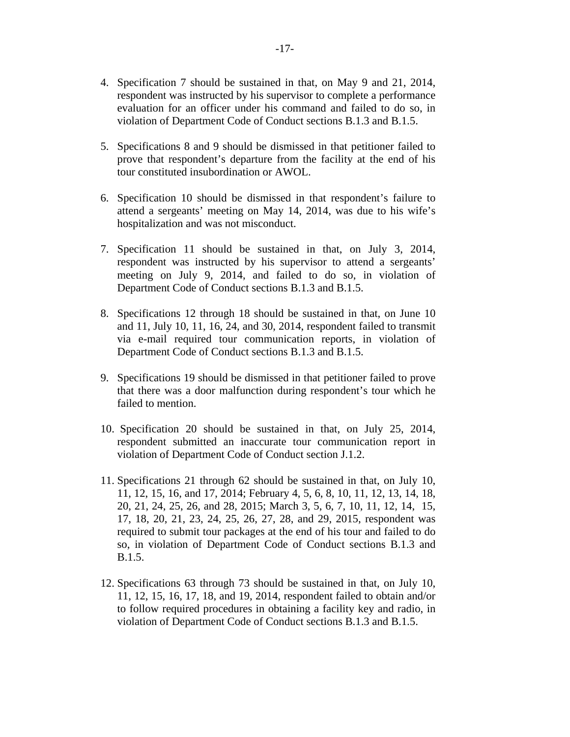- 4. Specification 7 should be sustained in that, on May 9 and 21, 2014, respondent was instructed by his supervisor to complete a performance evaluation for an officer under his command and failed to do so, in violation of Department Code of Conduct sections B.1.3 and B.1.5.
- 5. Specifications 8 and 9 should be dismissed in that petitioner failed to prove that respondent's departure from the facility at the end of his tour constituted insubordination or AWOL.
- 6. Specification 10 should be dismissed in that respondent's failure to attend a sergeants' meeting on May 14, 2014, was due to his wife's hospitalization and was not misconduct.
- 7. Specification 11 should be sustained in that, on July 3, 2014, respondent was instructed by his supervisor to attend a sergeants' meeting on July 9, 2014, and failed to do so, in violation of Department Code of Conduct sections B.1.3 and B.1.5.
- 8. Specifications 12 through 18 should be sustained in that, on June 10 and 11, July 10, 11, 16, 24, and 30, 2014, respondent failed to transmit via e-mail required tour communication reports, in violation of Department Code of Conduct sections B.1.3 and B.1.5.
- 9. Specifications 19 should be dismissed in that petitioner failed to prove that there was a door malfunction during respondent's tour which he failed to mention.
- 10. Specification 20 should be sustained in that, on July 25, 2014, respondent submitted an inaccurate tour communication report in violation of Department Code of Conduct section J.1.2.
- 11. Specifications 21 through 62 should be sustained in that, on July 10, 11, 12, 15, 16, and 17, 2014; February 4, 5, 6, 8, 10, 11, 12, 13, 14, 18, 20, 21, 24, 25, 26, and 28, 2015; March 3, 5, 6, 7, 10, 11, 12, 14, 15, 17, 18, 20, 21, 23, 24, 25, 26, 27, 28, and 29, 2015, respondent was required to submit tour packages at the end of his tour and failed to do so, in violation of Department Code of Conduct sections B.1.3 and B.1.5.
- 12. Specifications 63 through 73 should be sustained in that, on July 10, 11, 12, 15, 16, 17, 18, and 19, 2014, respondent failed to obtain and/or to follow required procedures in obtaining a facility key and radio, in violation of Department Code of Conduct sections B.1.3 and B.1.5.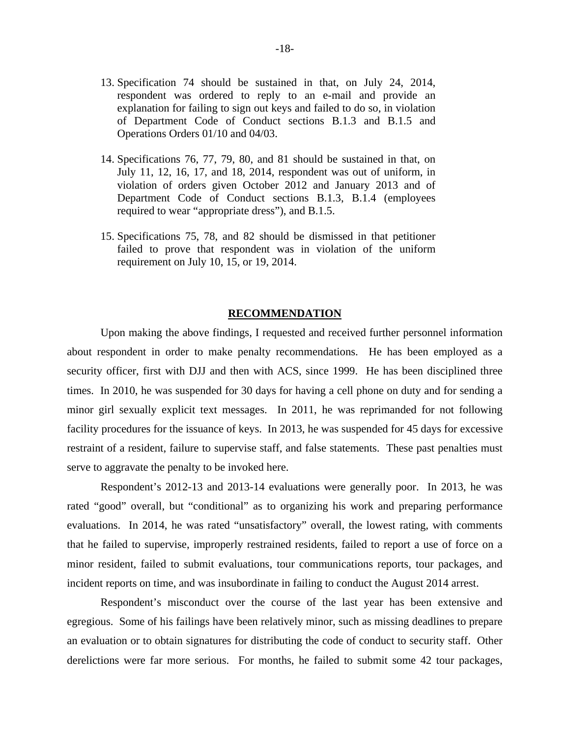- 13. Specification 74 should be sustained in that, on July 24, 2014, respondent was ordered to reply to an e-mail and provide an explanation for failing to sign out keys and failed to do so, in violation of Department Code of Conduct sections B.1.3 and B.1.5 and Operations Orders 01/10 and 04/03.
- 14. Specifications 76, 77, 79, 80, and 81 should be sustained in that, on July 11, 12, 16, 17, and 18, 2014, respondent was out of uniform, in violation of orders given October 2012 and January 2013 and of Department Code of Conduct sections B.1.3, B.1.4 (employees required to wear "appropriate dress"), and B.1.5.
- 15. Specifications 75, 78, and 82 should be dismissed in that petitioner failed to prove that respondent was in violation of the uniform requirement on July 10, 15, or 19, 2014.

#### **RECOMMENDATION**

 Upon making the above findings, I requested and received further personnel information about respondent in order to make penalty recommendations. He has been employed as a security officer, first with DJJ and then with ACS, since 1999. He has been disciplined three times. In 2010, he was suspended for 30 days for having a cell phone on duty and for sending a minor girl sexually explicit text messages. In 2011, he was reprimanded for not following facility procedures for the issuance of keys. In 2013, he was suspended for 45 days for excessive restraint of a resident, failure to supervise staff, and false statements. These past penalties must serve to aggravate the penalty to be invoked here.

 Respondent's 2012-13 and 2013-14 evaluations were generally poor. In 2013, he was rated "good" overall, but "conditional" as to organizing his work and preparing performance evaluations. In 2014, he was rated "unsatisfactory" overall, the lowest rating, with comments that he failed to supervise, improperly restrained residents, failed to report a use of force on a minor resident, failed to submit evaluations, tour communications reports, tour packages, and incident reports on time, and was insubordinate in failing to conduct the August 2014 arrest.

 Respondent's misconduct over the course of the last year has been extensive and egregious. Some of his failings have been relatively minor, such as missing deadlines to prepare an evaluation or to obtain signatures for distributing the code of conduct to security staff. Other derelictions were far more serious. For months, he failed to submit some 42 tour packages,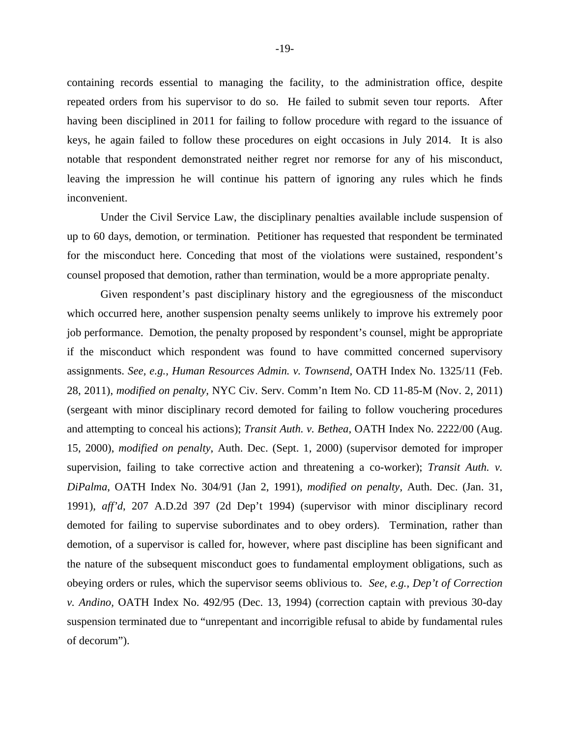containing records essential to managing the facility, to the administration office, despite repeated orders from his supervisor to do so. He failed to submit seven tour reports. After having been disciplined in 2011 for failing to follow procedure with regard to the issuance of keys, he again failed to follow these procedures on eight occasions in July 2014. It is also notable that respondent demonstrated neither regret nor remorse for any of his misconduct, leaving the impression he will continue his pattern of ignoring any rules which he finds inconvenient.

Under the Civil Service Law, the disciplinary penalties available include suspension of up to 60 days, demotion, or termination. Petitioner has requested that respondent be terminated for the misconduct here. Conceding that most of the violations were sustained, respondent's counsel proposed that demotion, rather than termination, would be a more appropriate penalty.

Given respondent's past disciplinary history and the egregiousness of the misconduct which occurred here, another suspension penalty seems unlikely to improve his extremely poor job performance. Demotion, the penalty proposed by respondent's counsel, might be appropriate if the misconduct which respondent was found to have committed concerned supervisory assignments. *See, e.g., Human Resources Admin. v. Townsend,* OATH Index No. 1325/11 (Feb. 28, 2011), *modified on penalty,* NYC Civ. Serv. Comm'n Item No. CD 11-85-M (Nov. 2, 2011) (sergeant with minor disciplinary record demoted for failing to follow vouchering procedures and attempting to conceal his actions); *Transit Auth. v. Bethea*, OATH Index No. 2222/00 (Aug. 15, 2000), *modified on penalty*, Auth. Dec. (Sept. 1, 2000) (supervisor demoted for improper supervision, failing to take corrective action and threatening a co-worker); *Transit Auth. v. DiPalma*, OATH Index No. 304/91 (Jan 2, 1991), *modified on penalty*, Auth. Dec. (Jan. 31, 1991), *aff'd*, 207 A.D.2d 397 (2d Dep't 1994) (supervisor with minor disciplinary record demoted for failing to supervise subordinates and to obey orders). Termination, rather than demotion, of a supervisor is called for, however, where past discipline has been significant and the nature of the subsequent misconduct goes to fundamental employment obligations, such as obeying orders or rules, which the supervisor seems oblivious to. *See, e.g., Dep't of Correction v. Andino,* OATH Index No. 492/95 (Dec. 13, 1994) (correction captain with previous 30-day suspension terminated due to "unrepentant and incorrigible refusal to abide by fundamental rules of decorum").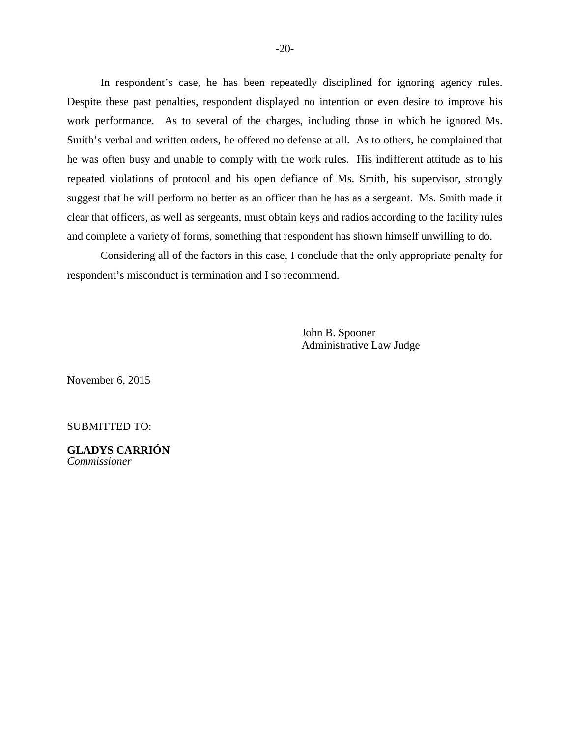In respondent's case, he has been repeatedly disciplined for ignoring agency rules. Despite these past penalties, respondent displayed no intention or even desire to improve his work performance. As to several of the charges, including those in which he ignored Ms. Smith's verbal and written orders, he offered no defense at all. As to others, he complained that he was often busy and unable to comply with the work rules. His indifferent attitude as to his repeated violations of protocol and his open defiance of Ms. Smith, his supervisor, strongly suggest that he will perform no better as an officer than he has as a sergeant. Ms. Smith made it clear that officers, as well as sergeants, must obtain keys and radios according to the facility rules and complete a variety of forms, something that respondent has shown himself unwilling to do.

Considering all of the factors in this case, I conclude that the only appropriate penalty for respondent's misconduct is termination and I so recommend.

> John B. Spooner Administrative Law Judge

November 6, 2015

SUBMITTED TO:

**GLADYS CARRIÓN**  *Commissioner*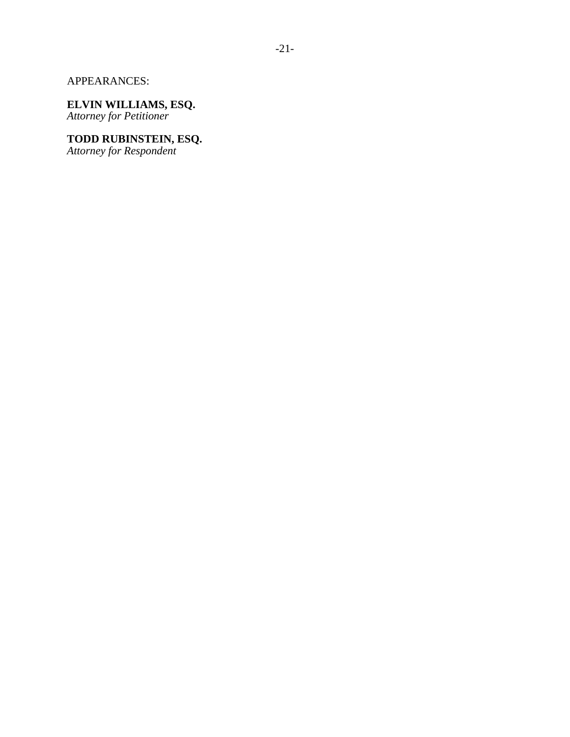# APPEARANCES:

# **ELVIN WILLIAMS, ESQ.**

*Attorney for Petitioner* 

#### **TODD RUBINSTEIN, ESQ.**

*Attorney for Respondent*